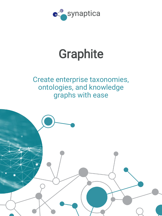

# **Graphite**

## Create enterprise taxonomies, ontologies, and knowledge graphs with ease

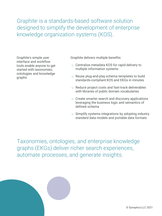Graphite is a standards-based software solution designed to simplify the development of enterprise knowledge organization systems (KOS).

Graphite's simple user interface and workflow tools enable anyone to get started with taxonomies, ontologies and knowledge graphs.

Graphite delivers multiple benefits:

- o Centralize metadata KOS for rapid delivery to multiple information systems
- o Reuse plug-and-play schema templates to build standards-compliant KOS and EKGs in minutes
- o Reduce project costs and fast-track deliverables with libraries of public domain vocabularies
- o Create smarter search and discovery applications leveraging the business logic and semantics of defined schema
- $\circ$  Simplify systems integrations by adopting industry standard data models and portable data formats

Taxonomies, ontologies, and enterprise knowledge graphs (EKGs) deliver richer search experiences, automate processes, and generate insights.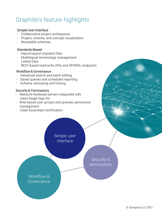## Graphite's feature highlights

#### Simple User Interface

- Collaborative project workspaces
- Project, scheme, and concept visualization
- Reuseable schemas

#### Standards-Based

- Import/export standard files
- Multilingual terminology management
- Linked Data
- REST-based read-write APIs and SPARQL endpoints

#### Workflow & Governance

- Advanced search and batch editing
- Saved queries and scheduled reporting
- Scheme versioning and forking

#### Security & Permissions

- Network-hardened servers integrated with client Single Sign-On
- Role-based user groups and granular permission management
- Cyber Essentials Certification

Simple user interface

> Security & permissions

Workflow & Governance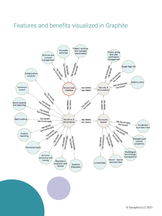### Features and benefits visualized in Graphite